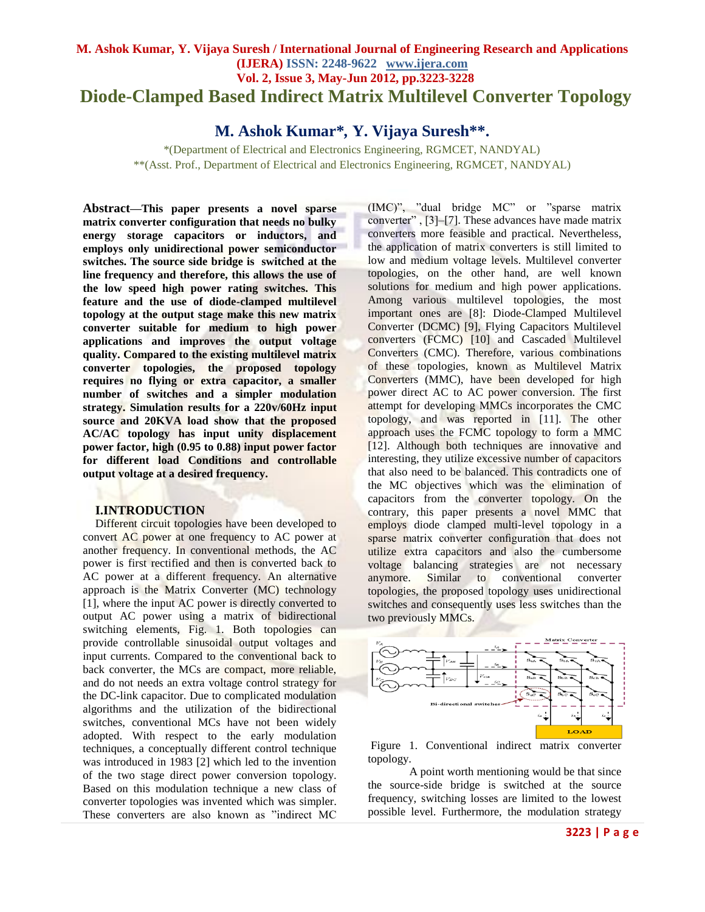# **M. Ashok Kumar***,* **Y. Vijaya Suresh / International Journal of Engineering Research and Applications (IJERA) ISSN: 2248-9622 www.ijera.com Vol. 2, Issue 3, May-Jun 2012, pp.3223-3228 Diode-Clamped Based Indirect Matrix Multilevel Converter Topology**

**M. Ashok Kumar\****,* **Y. Vijaya Suresh\*\*.**

\*(Department of Electrical and Electronics Engineering, RGMCET, NANDYAL) \*\*(Asst. Prof., Department of Electrical and Electronics Engineering, RGMCET, NANDYAL)

**Abstract—This paper presents a novel sparse matrix converter configuration that needs no bulky energy storage capacitors or inductors, and employs only unidirectional power semiconductor switches. The source side bridge is switched at the line frequency and therefore, this allows the use of the low speed high power rating switches. This feature and the use of diode-clamped multilevel topology at the output stage make this new matrix converter suitable for medium to high power applications and improves the output voltage quality. Compared to the existing multilevel matrix converter topologies, the proposed topology requires no flying or extra capacitor, a smaller number of switches and a simpler modulation strategy. Simulation results for a 220v/60Hz input source and 20KVA load show that the proposed AC/AC topology has input unity displacement power factor, high (0.95 to 0.88) input power factor for different load Conditions and controllable output voltage at a desired frequency.**

## **I.INTRODUCTION**

Different circuit topologies have been developed to convert AC power at one frequency to AC power at another frequency. In conventional methods, the AC power is first rectified and then is converted back to AC power at a different frequency. An alternative approach is the Matrix Converter (MC) technology [1], where the input AC power is directly converted to output AC power using a matrix of bidirectional switching elements, Fig. 1. Both topologies can provide controllable sinusoidal output voltages and input currents. Compared to the conventional back to back converter, the MCs are compact, more reliable, and do not needs an extra voltage control strategy for the DC-link capacitor. Due to complicated modulation algorithms and the utilization of the bidirectional switches, conventional MCs have not been widely adopted. With respect to the early modulation techniques, a conceptually different control technique was introduced in 1983 [2] which led to the invention of the two stage direct power conversion topology. Based on this modulation technique a new class of converter topologies was invented which was simpler. These converters are also known as "indirect MC

(IMC)", "dual bridge MC" or "sparse matrix converter" , [3]–[7]. These advances have made matrix converters more feasible and practical. Nevertheless, the application of matrix converters is still limited to low and medium voltage levels. Multilevel converter topologies, on the other hand, are well known solutions for medium and high power applications. Among various multilevel topologies, the most important ones are [8]: Diode-Clamped Multilevel Converter (DCMC) [9], Flying Capacitors Multilevel converters (FCMC) [10] and Cascaded Multilevel Converters (CMC). Therefore, various combinations of these topologies, known as Multilevel Matrix Converters (MMC), have been developed for high power direct AC to AC power conversion. The first attempt for developing MMCs incorporates the CMC topology, and was reported in [11]. The other approach uses the FCMC topology to form a MMC [12]. Although both techniques are innovative and interesting, they utilize excessive number of capacitors that also need to be balanced. This contradicts one of the MC objectives which was the elimination of capacitors from the converter topology. On the contrary, this paper presents a novel MMC that employs diode clamped multi-level topology in a sparse matrix converter configuration that does not utilize extra capacitors and also the cumbersome voltage balancing strategies are not necessary anymore. Similar to conventional converter topologies, the proposed topology uses unidirectional switches and consequently uses less switches than the two previously MMCs.



Figure 1. Conventional indirect matrix converter topology.

A point worth mentioning would be that since the source-side bridge is switched at the source frequency, switching losses are limited to the lowest possible level. Furthermore, the modulation strategy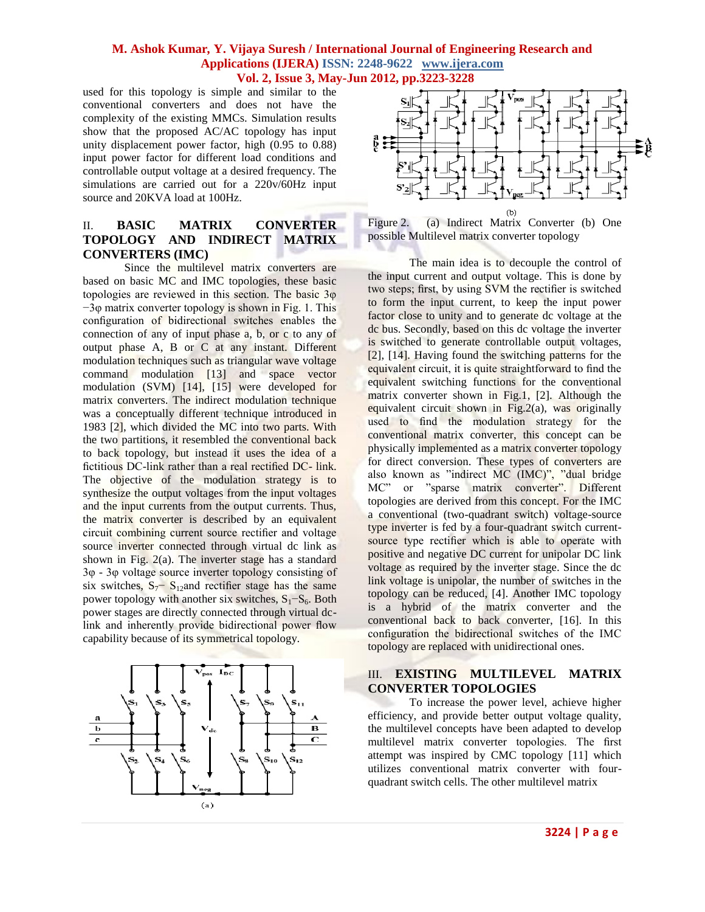### **M. Ashok Kumar***,* **Y. Vijaya Suresh / International Journal of Engineering Research and Applications (IJERA) ISSN: 2248-9622 www.ijera.com Vol. 2, Issue 3, May-Jun 2012, pp.3223-3228**

used for this topology is simple and similar to the conventional converters and does not have the complexity of the existing MMCs. Simulation results show that the proposed AC/AC topology has input unity displacement power factor, high (0.95 to 0.88) input power factor for different load conditions and controllable output voltage at a desired frequency. The simulations are carried out for a 220v/60Hz input source and 20KVA load at 100Hz.

# II. **BASIC MATRIX CONVERTER TOPOLOGY AND INDIRECT MATRIX CONVERTERS (IMC)**

Since the multilevel matrix converters are based on basic MC and IMC topologies, these basic topologies are reviewed in this section. The basic 3φ −3φ matrix converter topology is shown in Fig. 1. This configuration of bidirectional switches enables the connection of any of input phase a, b, or c to any of output phase A, B or C at any instant. Different modulation techniques such as triangular wave voltage command modulation [13] and space vector modulation (SVM) [14], [15] were developed for matrix converters. The indirect modulation technique was a conceptually different technique introduced in 1983 [2], which divided the MC into two parts. With the two partitions, it resembled the conventional back to back topology, but instead it uses the idea of a fictitious DC-link rather than a real rectified DC- link. The objective of the modulation strategy is to synthesize the output voltages from the input voltages and the input currents from the output currents. Thus, the matrix converter is described by an equivalent circuit combining current source rectifier and voltage source inverter connected through virtual dc link as shown in Fig.  $2(a)$ . The inverter stage has a standard 3φ - 3φ voltage source inverter topology consisting of six switches,  $S_7$ <sup>-</sup> S<sub>12</sub>and rectifier stage has the same power topology with another six switches,  $S_1-S_6$ . Both power stages are directly connected through virtual dclink and inherently provide bidirectional power flow capability because of its symmetrical topology.





Figure 2. (a) Indirect Matrix Converter (b) One possible Multilevel matrix converter topology

The main idea is to decouple the control of the input current and output voltage. This is done by two steps; first, by using SVM the rectifier is switched to form the input current, to keep the input power factor close to unity and to generate dc voltage at the dc bus. Secondly, based on this dc voltage the inverter is switched to generate controllable output voltages, [2], [14]. Having found the switching patterns for the equivalent circuit, it is quite straightforward to find the equivalent switching functions for the conventional matrix converter shown in Fig.1, [2]. Although the equivalent circuit shown in Fig.2(a), was originally used to find the modulation strategy for the conventional matrix converter, this concept can be physically implemented as a matrix converter topology for direct conversion. These types of converters are also known as "indirect MC (IMC)", "dual bridge MC" or "sparse matrix converter". Different topologies are derived from this concept. For the IMC a conventional (two-quadrant switch) voltage-source type inverter is fed by a four-quadrant switch currentsource type rectifier which is able to operate with positive and negative DC current for unipolar DC link voltage as required by the inverter stage. Since the dc link voltage is unipolar, the number of switches in the topology can be reduced, [4]. Another IMC topology is a hybrid of the matrix converter and the conventional back to back converter, [16]. In this configuration the bidirectional switches of the IMC topology are replaced with unidirectional ones.

### III. **EXISTING MULTILEVEL MATRIX CONVERTER TOPOLOGIES**

To increase the power level, achieve higher efficiency, and provide better output voltage quality, the multilevel concepts have been adapted to develop multilevel matrix converter topologies. The first attempt was inspired by CMC topology [11] which utilizes conventional matrix converter with fourquadrant switch cells. The other multilevel matrix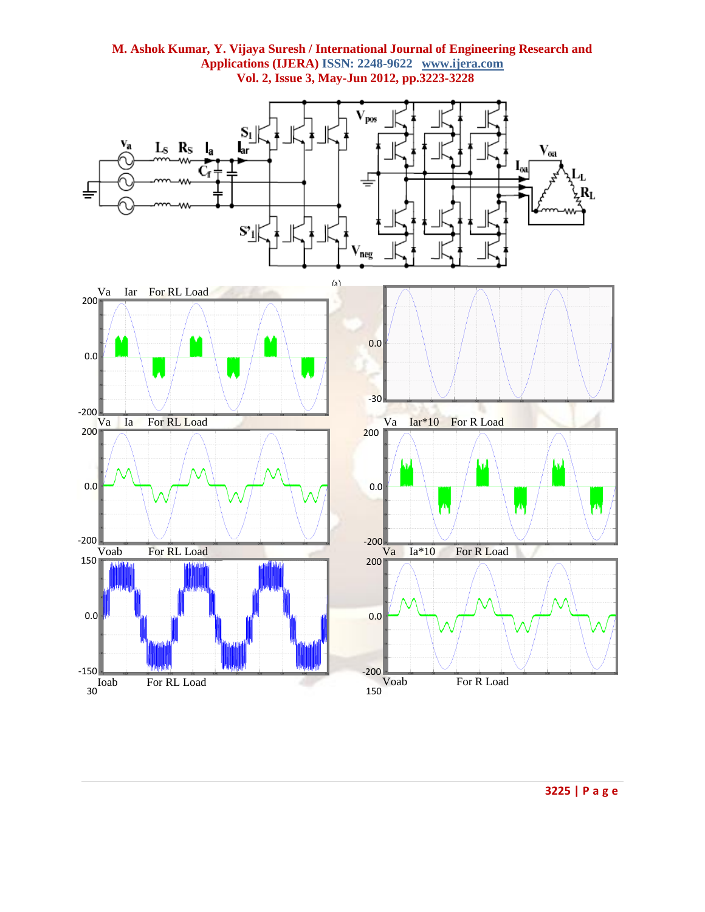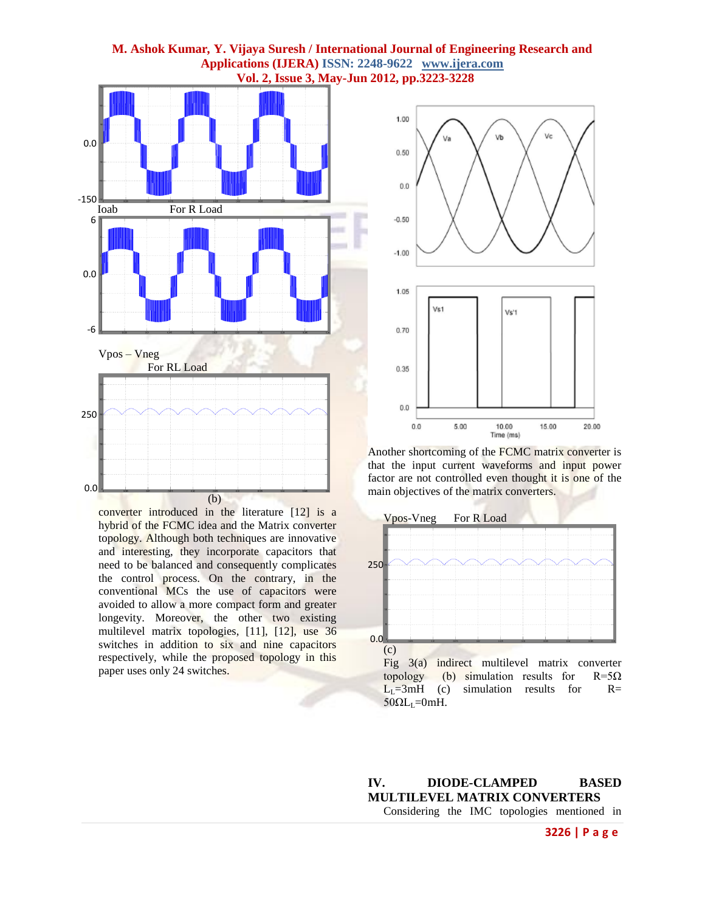



converter introduced in the literature [12] is a hybrid of the FCMC idea and the Matrix converter topology. Although both techniques are innovative and interesting, they incorporate capacitors that need to be balanced and consequently complicates the control process. On the contrary, in the conventional MCs the use of capacitors were avoided to allow a more compact form and greater longevity. Moreover, the other two existing multilevel matrix topologies, [11], [12], use 36 switches in addition to six and nine capacitors respectively, while the proposed topology in this paper uses only 24 switches.



Another shortcoming of the FCMC matrix converter is that the input current waveforms and input power factor are not controlled even thought it is one of the main objectives of the matrix converters.



**IV. DIODE-CLAMPED BASED MULTILEVEL MATRIX CONVERTERS** Considering the IMC topologies mentioned in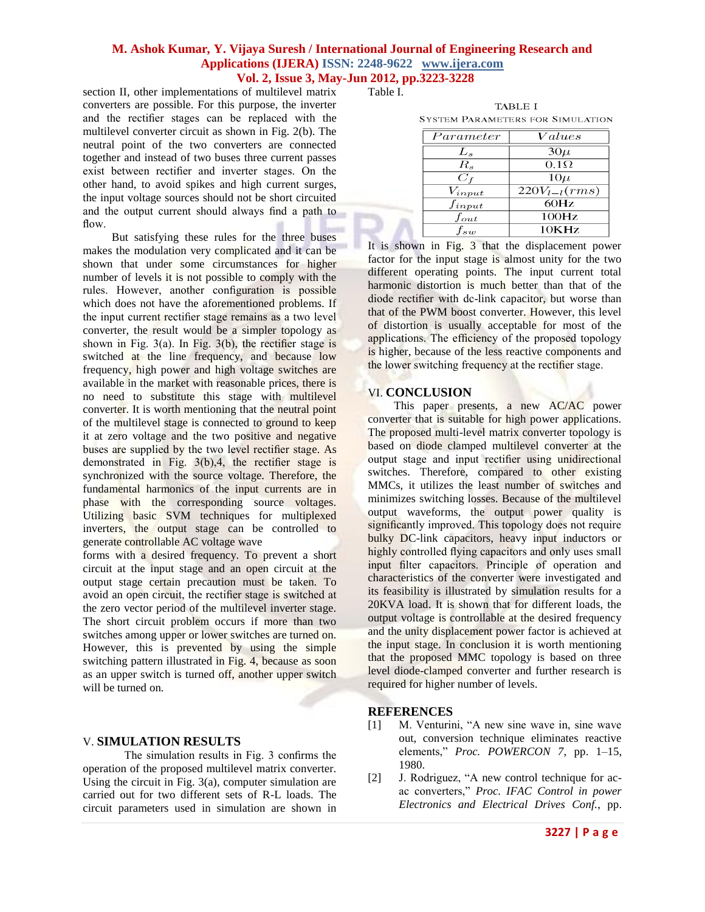### **M. Ashok Kumar***,* **Y. Vijaya Suresh / International Journal of Engineering Research and Applications (IJERA) ISSN: 2248-9622 www.ijera.com Vol. 2, Issue 3, May-Jun 2012, pp.3223-3228**

section II, other implementations of multilevel matrix converters are possible. For this purpose, the inverter and the rectifier stages can be replaced with the multilevel converter circuit as shown in Fig. 2(b). The neutral point of the two converters are connected together and instead of two buses three current passes exist between rectifier and inverter stages. On the other hand, to avoid spikes and high current surges, the input voltage sources should not be short circuited and the output current should always find a path to flow.

 But satisfying these rules for the three buses makes the modulation very complicated and it can be shown that under some circumstances for higher number of levels it is not possible to comply with the rules. However, another configuration is possible which does not have the aforementioned problems. If the input current rectifier stage remains as a two level converter, the result would be a simpler topology as shown in Fig.  $3(a)$ . In Fig.  $3(b)$ , the rectifier stage is switched at the line frequency, and because low frequency, high power and high voltage switches are available in the market with reasonable prices, there is no need to substitute this stage with multilevel converter. It is worth mentioning that the neutral point of the multilevel stage is connected to ground to keep it at zero voltage and the two positive and negative buses are supplied by the two level rectifier stage. As demonstrated in Fig. 3(b),4, the rectifier stage is synchronized with the source voltage. Therefore, the fundamental harmonics of the input currents are in phase with the corresponding source voltages. Utilizing basic SVM techniques for multiplexed inverters, the output stage can be controlled to generate controllable AC voltage wave

forms with a desired frequency. To prevent a short circuit at the input stage and an open circuit at the output stage certain precaution must be taken. To avoid an open circuit, the rectifier stage is switched at the zero vector period of the multilevel inverter stage. The short circuit problem occurs if more than two switches among upper or lower switches are turned on. However, this is prevented by using the simple switching pattern illustrated in Fig. 4, because as soon as an upper switch is turned off, another upper switch will be turned on.

### V. **SIMULATION RESULTS**

The simulation results in Fig. 3 confirms the operation of the proposed multilevel matrix converter. Using the circuit in Fig. 3(a), computer simulation are carried out for two different sets of R-L loads. The circuit parameters used in simulation are shown in Table I.

**TABLE I SYSTEM PARAMETERS FOR SIMULATION** 

| Parameter   | Values                 |
|-------------|------------------------|
| L,          | $30\mu$                |
| $R_{s}$     | $\overline{0.1\Omega}$ |
| $C_f$       | $10\mu$                |
| $V_{input}$ | $220V_{l-l}(rms)$      |
| $f_{input}$ | 60Hz                   |
| $f_{out}$   | 100Hz                  |
|             | 10KHz                  |

It is shown in Fig. 3 that the displacement power factor for the input stage is almost unity for the two different operating points. The input current total harmonic distortion is much better than that of the diode rectifier with dc-link capacitor, but worse than that of the PWM boost converter. However, this level of distortion is usually acceptable for most of the applications. The efficiency of the proposed topology is higher, because of the less reactive components and the lower switching frequency at the rectifier stage.

#### VI. **CONCLUSION**

 This paper presents, a new AC/AC power converter that is suitable for high power applications. The proposed multi-level matrix converter topology is based on diode clamped multilevel converter at the output stage and input rectifier using unidirectional switches. Therefore, compared to other existing MMCs, it utilizes the least number of switches and minimizes switching losses. Because of the multilevel output waveforms, the output power quality is significantly improved. This topology does not require bulky DC-link capacitors, heavy input inductors or highly controlled flying capacitors and only uses small input filter capacitors. Principle of operation and characteristics of the converter were investigated and its feasibility is illustrated by simulation results for a 20KVA load. It is shown that for different loads, the output voltage is controllable at the desired frequency and the unity displacement power factor is achieved at the input stage. In conclusion it is worth mentioning that the proposed MMC topology is based on three level diode-clamped converter and further research is required for higher number of levels.

#### **REFERENCES**

- [1] M. Venturini, "A new sine wave in, sine wave out, conversion technique eliminates reactive elements," *Proc. POWERCON 7*, pp. 1–15, 1980.
- [2] J. Rodriguez, "A new control technique for acac converters," *Proc. IFAC Control in power Electronics and Electrical Drives Conf.*, pp.